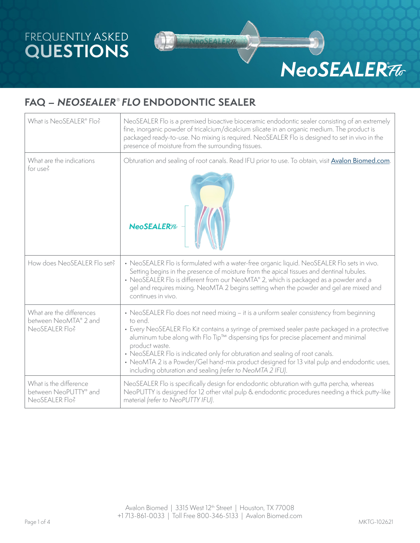## FREQUENTLY ASKED **QUESTIONS**



# **NeoSEALER76**

## **FAQ –** *NEOSEALER*® *FLO* **ENDODONTIC SEALER**

| What is NeoSEALER® Flo?                                             | NeoSEALER Flo is a premixed bioactive bioceramic endodontic sealer consisting of an extremely<br>fine, inorganic powder of tricalcium/dicalcium silicate in an organic medium. The product is<br>packaged ready-to-use. No mixing is required. NeoSEALER Flo is designed to set in vivo in the<br>presence of moisture from the surrounding tissues.                                                                                                                                                                                                       |  |  |
|---------------------------------------------------------------------|------------------------------------------------------------------------------------------------------------------------------------------------------------------------------------------------------------------------------------------------------------------------------------------------------------------------------------------------------------------------------------------------------------------------------------------------------------------------------------------------------------------------------------------------------------|--|--|
| What are the indications<br>for use?                                | Obturation and sealing of root canals. Read IFU prior to use. To obtain, visit Avalon Biomed.com.<br>NeoSEALER <sub>76</sub>                                                                                                                                                                                                                                                                                                                                                                                                                               |  |  |
| How does NeoSEALER Flo set?                                         | • NeoSEALER Flo is formulated with a water-free organic liquid. NeoSEALER Flo sets in vivo.<br>Setting begins in the presence of moisture from the apical tissues and dentinal tubules.<br>• NeoSEALER Flo is different from our NeoMTA® 2, which is packaged as a powder and a<br>gel and requires mixing. NeoMTA 2 begins setting when the powder and gel are mixed and<br>continues in vivo.                                                                                                                                                            |  |  |
| What are the differences<br>between NeoMTA® 2 and<br>NeoSEALER Flo? | • NeoSEALER Flo does not need mixing - it is a uniform sealer consistency from beginning<br>to end.<br>• Every NeoSEALER Flo Kit contains a syringe of premixed sealer paste packaged in a protective<br>aluminum tube along with Flo Tip™ dispensing tips for precise placement and minimal<br>product waste.<br>• NeoSEALER Flo is indicated only for obturation and sealing of root canals.<br>• NeoMTA 2 is a Powder/Gel hand-mix product designed for 13 vital pulp and endodontic uses,<br>including obturation and sealing (refer to NeoMTA 2 IFU). |  |  |
| What is the difference<br>between NeoPUTTY® and<br>NeoSEALER Flo?   | NeoSEALER Flo is specifically design for endodontic obturation with gutta percha, whereas<br>NeoPUTTY is designed for 12 other vital pulp & endodontic procedures needing a thick putty-like<br>material (refer to NeoPUTTY IFU).                                                                                                                                                                                                                                                                                                                          |  |  |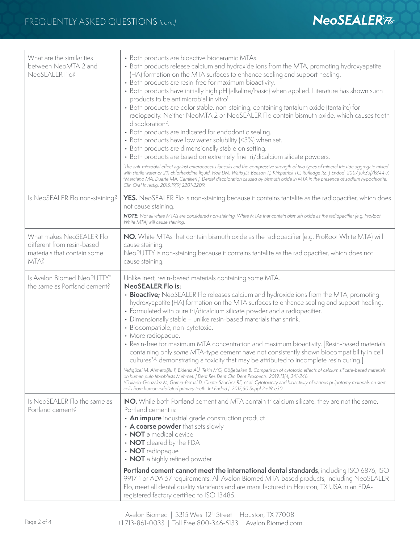| What are the similarities<br>between NeoMTA 2 and<br>NeoSEALER Flo?                           | • Both products are bioactive bioceramic MTAs.<br>• Both products release calcium and hydroxide ions from the MTA, promoting hydroxyapatite<br>(HA) formation on the MTA surfaces to enhance sealing and support healing.<br>• Both products are resin-free for maximum bioactivity.<br>• Both products have initially high pH (alkaline/basic) when applied. Literature has shown such<br>products to be antimicrobial in vitro <sup>1</sup> .<br>• Both products are color stable, non-staining, containing tantalum oxide (tantalite) for<br>radiopacity. Neither NeoMTA 2 or NeoSEALER Flo contain bismuth oxide, which causes tooth<br>discoloration <sup>2</sup> .<br>• Both products are indicated for endodontic sealing.<br>• Both products have low water solubility (<3%) when set.<br>• Both products are dimensionally stable on setting.<br>• Both products are based on extremely fine tri/dicalcium silicate powders.<br><sup>1</sup> The anti-microbial effect against enterococcus faecalis and the compressive strength of two types of mineral trioxide aggregate mixed<br>with sterile water or 2% chlorhexidine liquid. Holt DM, Watts JD, Beeson TJ, Kirkpatrick TC, Rutledge RE. J Endod. 2007 Jul;33(7):844-7.<br><sup>2</sup> Marciano MA, Duarte MA, Camilleri J. Dental discoloration caused by bismuth oxide in MTA in the presence of sodium hypochlorite.<br>Clin Oral Investig. 2015;19(9):2201-2209. |  |
|-----------------------------------------------------------------------------------------------|---------------------------------------------------------------------------------------------------------------------------------------------------------------------------------------------------------------------------------------------------------------------------------------------------------------------------------------------------------------------------------------------------------------------------------------------------------------------------------------------------------------------------------------------------------------------------------------------------------------------------------------------------------------------------------------------------------------------------------------------------------------------------------------------------------------------------------------------------------------------------------------------------------------------------------------------------------------------------------------------------------------------------------------------------------------------------------------------------------------------------------------------------------------------------------------------------------------------------------------------------------------------------------------------------------------------------------------------------------------------------------------------------------------------------------------|--|
| Is NeoSEALER Flo non-staining?                                                                | <b>YES.</b> NeoSEALER Flo is non-staining because it contains tantalite as the radiopacifier, which does<br>not cause staining.<br>NOTE: Not all white MTA's are considered non-staining. White MTAs that contain bismuth oxide as the radiopacifier (e.g. ProRoot<br>White MTA) will cause staining.                                                                                                                                                                                                                                                                                                                                                                                                                                                                                                                                                                                                                                                                                                                                                                                                                                                                                                                                                                                                                                                                                                                                 |  |
| What makes NeoSEALER Flo<br>different from resin-based<br>materials that contain some<br>MTA? | NO. White MTAs that contain bismuth oxide as the radiopacifier (e.g. ProRoot White MTA) will<br>cause staining.<br>NeoPUTTY is non-staining because it contains tantalite as the radiopacifier, which does not<br>cause staining.                                                                                                                                                                                                                                                                                                                                                                                                                                                                                                                                                                                                                                                                                                                                                                                                                                                                                                                                                                                                                                                                                                                                                                                                     |  |
| Is Avalon Biomed NeoPUTTY®<br>the same as Portland cement?                                    | Unlike inert, resin-based materials containing some MTA,<br><b>NeoSEALER Flo is:</b><br>• Bioactive; NeoSEALER Flo releases calcium and hydroxide ions from the MTA, promoting<br>hydroxyapatite (HA) formation on the MTA surfaces to enhance sealing and support healing.<br>• Formulated with pure tri/dicalcium silicate powder and a radiopacifier.<br>• Dimensionally stable - unlike resin-based materials that shrink.<br>· Biocompatible, non-cytotoxic.<br>• More radiopaque.<br>• Resin-free for maximum MTA concentration and maximum bioactivity. [Resin-based materials<br>containing only some MTA-type cement have not consistently shown biocompatibility in cell<br>cultures <sup>3,4,</sup> demonstrating a toxicity that may be attributed to incomplete resin curing.<br><sup>3</sup> Adıgüzel M, Ahmetoğlu F, Eldeniz AÜ, Tekin MG, Göğebakan B. Comparison of cytotoxic effects of calcium silicate-based materials<br>on human pulp fibroblasts Mehmet. J Dent Res Dent Clin Dent Prospects. 2019;13(4):241-246.<br><sup>4</sup> Collado-González M, García-Bernal D, Oñate-Sánchez RE, et al. Cytotoxicity and bioactivity of various pulpotomy materials on stem<br>cells from human exfoliated primary teeth. Int Endod J. 2017;50 Suppl 2:e19-e30.                                                                                                                                                        |  |
| Is NeoSEALER Flo the same as<br>Portland cement?                                              | NO. While both Portland cement and MTA contain tricalcium silicate, they are not the same.<br>Portland cement is:<br>• An impure industrial grade construction product<br>• A coarse powder that sets slowly<br>• NOT a medical device<br>• NOT cleared by the FDA<br>• NOT radiopaque<br>• NOT a highly refined powder<br>Portland cement cannot meet the international dental standards, including ISO 6876, ISO<br>9917-1 or ADA 57 requirements. All Avalon Biomed MTA-based products, including NeoSEALER<br>Flo, meet all dental quality standards and are manufactured in Houston, TX USA in an FDA-<br>registered factory certified to ISO 13485.                                                                                                                                                                                                                                                                                                                                                                                                                                                                                                                                                                                                                                                                                                                                                                             |  |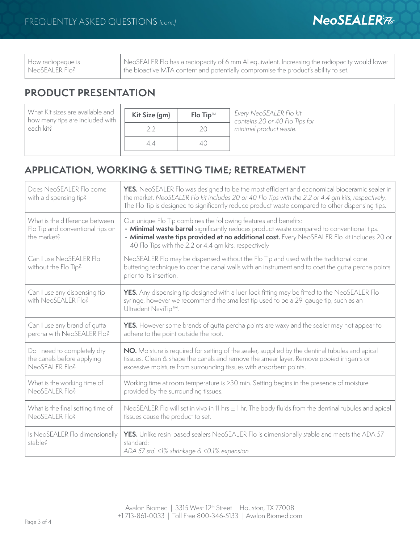| How radiopaque is<br>  NeoSEALER Flo? | NeoSEALER Flo has a radiopacity of 6 mm AI equivalent. Increasing the radiopacity would lower<br>the bioactive MTA content and potentially compromise the product's ability to set. |
|---------------------------------------|-------------------------------------------------------------------------------------------------------------------------------------------------------------------------------------|
|                                       |                                                                                                                                                                                     |

## **PRODUCT PRESENTATION**

What Kit sizes are available and how many tips are included with each kit?

| Kit Size (gm) | <b>Flo Tip™</b> |
|---------------|-----------------|
|               |                 |
| 22            | $\sum$          |
| 44            |                 |

Every NeoSEALER Flo kit contains 20 or 40 Flo Tips for minimal product waste.

## **APPLICATION, WORKING & SETTING TIME; RETREATMENT**

| Does NeoSEALER Flo come<br>with a dispensing tip?                                 | YES. NeoSEALER Flo was designed to be the most efficient and economical bioceramic sealer in<br>the market. NeoSEALER Flo kit includes 20 or 40 Flo Tips with the 2.2 or 4.4 gm kits, respectively.<br>The Flo Tip is designed to significantly reduce product waste compared to other dispensing tips.               |  |
|-----------------------------------------------------------------------------------|-----------------------------------------------------------------------------------------------------------------------------------------------------------------------------------------------------------------------------------------------------------------------------------------------------------------------|--|
| What is the difference between<br>Flo Tip and conventional tips on<br>the market? | Our unique Flo Tip combines the following features and benefits:<br>• Minimal waste barrel significantly reduces product waste compared to conventional tips.<br>• Minimal waste tips provided at no additional cost. Every NeoSEALER Flo kit includes 20 or<br>40 Flo Tips with the 2.2 or 4.4 gm kits, respectively |  |
| Can I use NeoSEALER Flo<br>without the Flo Tip?                                   | NeoSEALER Flo may be dispensed without the Flo Tip and used with the traditional cone<br>buttering technique to coat the canal walls with an instrument and to coat the gutta percha points<br>prior to its insertion.                                                                                                |  |
| Can I use any dispensing tip<br>with NeoSEALER Flo?                               | YES. Any dispensing tip designed with a luer-lock fitting may be fitted to the NeoSEALER Flo<br>syringe, however we recommend the smallest tip used to be a 29-gauge tip, such as an<br>Ultradent NaviTip™.                                                                                                           |  |
| Can I use any brand of qutta<br>percha with NeoSEALER Flo?                        | <b>YES.</b> However some brands of qutta percha points are waxy and the sealer may not appear to<br>adhere to the point outside the root.                                                                                                                                                                             |  |
| Do I need to completely dry<br>the canals before applying<br>NeoSEALER Flo?       | NO. Moisture is required for setting of the sealer, supplied by the dentinal tubules and apical<br>tissues. Clean & shape the canals and remove the smear layer. Remove pooled irrigants or<br>excessive moisture from surrounding tissues with absorbent points.                                                     |  |
| What is the working time of<br>NeoSEALER Flo?                                     | Working time at room temperature is >30 min. Setting begins in the presence of moisture<br>provided by the surrounding tissues.                                                                                                                                                                                       |  |
| What is the final setting time of<br>NeoSEALER Flo?                               | NeoSEALER Flo will set in vivo in 11 hrs $\pm$ 1 hr. The body fluids from the dentinal tubules and apical<br>tissues cause the product to set.                                                                                                                                                                        |  |
| Is NeoSEALER Flo dimensionally<br>stable?                                         | <b>YES.</b> Unlike resin-based sealers NeoSEALER Flo is dimensionally stable and meets the ADA 57<br>standard:<br>ADA 57 std. <1% shrinkage & <0.1% expansion                                                                                                                                                         |  |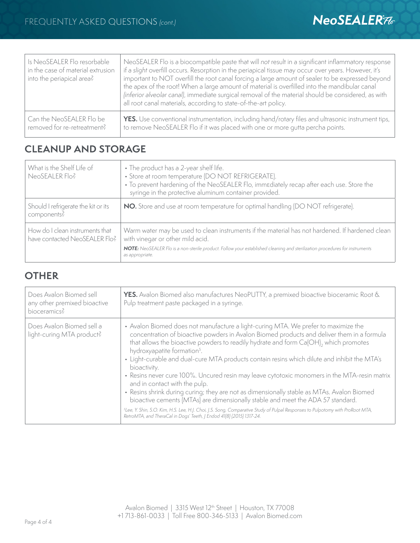| Is NeoSEALER Flo resorbable<br>in the case of material extrusion<br>into the periapical area? | NeoSEALER Flo is a biocompatible paste that will not result in a significant inflammatory response<br>if a slight overfill occurs. Resorption in the periapical tissue may occur over years. However, it's<br>important to NOT overfill the root canal forcing a large amount of sealer to be expressed beyond<br>the apex of the root! When a large amount of material is overfilled into the mandibular canal<br>(inferior alveolar canal), immediate surgical removal of the material should be considered, as with<br>all root canal materials, according to state-of-the-art policy. |
|-----------------------------------------------------------------------------------------------|-------------------------------------------------------------------------------------------------------------------------------------------------------------------------------------------------------------------------------------------------------------------------------------------------------------------------------------------------------------------------------------------------------------------------------------------------------------------------------------------------------------------------------------------------------------------------------------------|
| Can the NeoSEALER Flo be                                                                      | YES. Use conventional instrumentation, including hand/rotary files and ultrasonic instrument tips,                                                                                                                                                                                                                                                                                                                                                                                                                                                                                        |
| removed for re-retreatment?                                                                   | to remove NeoSEALER Flo if it was placed with one or more gutta percha points.                                                                                                                                                                                                                                                                                                                                                                                                                                                                                                            |

## **CLEANUP AND STORAGE**

| What is the Shelf Life of<br>NeoSEALER Flo?                      | • The product has a 2-year shelf life.<br>• Store at room temperature (DO NOT REFRIGERATE).<br>• To prevent hardening of the NeoSEALER Flo, immediately recap after each use. Store the<br>syringe in the protective aluminum container provided.                  |  |
|------------------------------------------------------------------|--------------------------------------------------------------------------------------------------------------------------------------------------------------------------------------------------------------------------------------------------------------------|--|
| Should I refrigerate the kit or its<br>components?               | NO. Store and use at room temperature for optimal handling (DO NOT refrigerate).                                                                                                                                                                                   |  |
| How do I clean instruments that<br>have contacted NeoSEALER Flo? | Warm water may be used to clean instruments if the material has not hardened. If hardened clean<br>with vinegar or other mild acid.<br>NOTE: NeoSEALER Flo is a non-sterile product. Follow your established cleaning and sterilization procedures for instruments |  |
|                                                                  | as appropriate.                                                                                                                                                                                                                                                    |  |

#### **OTHER**

| Does Avalon Biomed sell<br>any other premixed bioactive<br>bioceramics? | YES. Avalon Biomed also manufactures NeoPUTTY, a premixed bioactive bioceramic Root &<br>Pulp treatment paste packaged in a syringe.                                                                                                                                                                                                                                                                                                                                                                                                                                                                                                                                                                                                                                                                                                                                                                                                                                       |
|-------------------------------------------------------------------------|----------------------------------------------------------------------------------------------------------------------------------------------------------------------------------------------------------------------------------------------------------------------------------------------------------------------------------------------------------------------------------------------------------------------------------------------------------------------------------------------------------------------------------------------------------------------------------------------------------------------------------------------------------------------------------------------------------------------------------------------------------------------------------------------------------------------------------------------------------------------------------------------------------------------------------------------------------------------------|
| Does Avalon Biomed sell a<br>light-curing MTA product?                  | • Avalon Biomed does not manufacture a light-curing MTA. We prefer to maximize the<br>concentration of bioactive powders in Avalon Biomed products and deliver them in a formula<br>that allows the bioactive powders to readily hydrate and form Ca(OH), which promotes<br>hydroxyapatite formation <sup>5</sup> .<br>• Light-curable and dual-cure MTA products contain resins which dilute and inhibit the MTA's<br>bioactivity.<br>• Resins never cure 100%. Uncured resin may leave cytotoxic monomers in the MTA-resin matrix<br>and in contact with the pulp.<br>• Resins shrink during curing; they are not as dimensionally stable as MTAs. Avalon Biomed<br>bioactive cements (MTAs) are dimensionally stable and meet the ADA 57 standard.<br><sup>5</sup> Lee, Y. Shin, S.O. Kim, H.S. Lee, H.J. Choi, J.S. Song, Comparative Study of Pulpal Responses to Pulpotomy with ProRoot MTA,<br>RetroMTA, and TheraCal in Dogs' Teeth, J Endod 41(8) (2015) 1317-24. |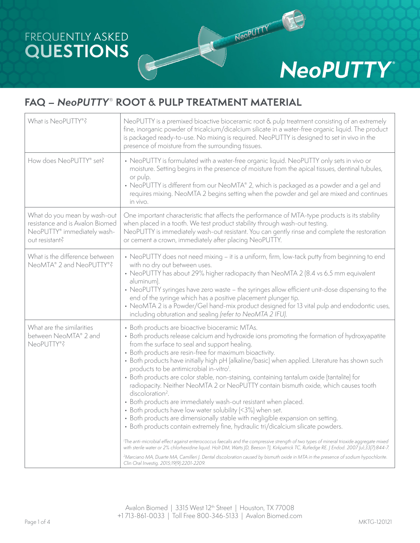## FREQUENTLY ASKED **QUESTIONS**

## **NeoPUTTY®**

NeoPUTTY

## **FAQ –** *NeoPUTTY*® **ROOT & PULP TREATMENT MATERIAL**

| What is NeoPUTTY®?                                                                                               | NeoPUTTY is a premixed bioactive bioceramic root & pulp treatment consisting of an extremely<br>fine, inorganic powder of tricalcium/dicalcium silicate in a water-free organic liquid. The product<br>is packaged ready-to-use. No mixing is required. NeoPUTTY is designed to set in vivo in the<br>presence of moisture from the surrounding tissues.                                                                                                                                                                                                                                                                                                                                                                                                                                                                                                                                                                                                                                                                                                                                                                                                                                                                                                                                                                                                                                                                            |  |
|------------------------------------------------------------------------------------------------------------------|-------------------------------------------------------------------------------------------------------------------------------------------------------------------------------------------------------------------------------------------------------------------------------------------------------------------------------------------------------------------------------------------------------------------------------------------------------------------------------------------------------------------------------------------------------------------------------------------------------------------------------------------------------------------------------------------------------------------------------------------------------------------------------------------------------------------------------------------------------------------------------------------------------------------------------------------------------------------------------------------------------------------------------------------------------------------------------------------------------------------------------------------------------------------------------------------------------------------------------------------------------------------------------------------------------------------------------------------------------------------------------------------------------------------------------------|--|
| How does NeoPUTTY® set?                                                                                          | • NeoPUTTY is formulated with a water-free organic liquid. NeoPUTTY only sets in vivo or<br>moisture. Setting begins in the presence of moisture from the apical tissues, dentinal tubules,<br>or pulp.<br>• NeoPUTTY is different from our NeoMTA® 2, which is packaged as a powder and a gel and<br>requires mixing. NeoMTA 2 begins setting when the powder and gel are mixed and continues<br>in vivo.                                                                                                                                                                                                                                                                                                                                                                                                                                                                                                                                                                                                                                                                                                                                                                                                                                                                                                                                                                                                                          |  |
| What do you mean by wash-out<br>resistance and is Avalon Biomed<br>NeoPUTTY® immediately wash-<br>out resistant? | One important characteristic that affects the performance of MTA-type products is its stability<br>when placed in a tooth. We test product stability through wash-out testing.<br>NeoPUTTY is immediately wash-out resistant. You can gently rinse and complete the restoration<br>or cement a crown, immediately after placing NeoPUTTY.                                                                                                                                                                                                                                                                                                                                                                                                                                                                                                                                                                                                                                                                                                                                                                                                                                                                                                                                                                                                                                                                                           |  |
| What is the difference between<br>NeoMTA® 2 and NeoPUTTY®?                                                       | • NeoPUTTY does not need mixing - it is a uniform, firm, low-tack putty from beginning to end<br>with no dry out between uses.<br>• NeoPUTTY has about 29% higher radiopacity than NeoMTA 2 (8.4 vs 6.5 mm equivalent<br>aluminum).<br>• NeoPUTTY syringes have zero waste - the syringes allow efficient unit-dose dispensing to the<br>end of the syringe which has a positive placement plunger tip.<br>• NeoMTA 2 is a Powder/Gel hand-mix product designed for 13 vital pulp and endodontic uses,<br>including obturation and sealing (refer to NeoMTA 2 IFU).                                                                                                                                                                                                                                                                                                                                                                                                                                                                                                                                                                                                                                                                                                                                                                                                                                                                 |  |
| What are the similarities<br>between NeoMTA® 2 and<br>NeoPUTTY®?                                                 | • Both products are bioactive bioceramic MTAs.<br>• Both products release calcium and hydroxide ions promoting the formation of hydroxyapatite<br>from the surface to seal and support healing.<br>• Both products are resin-free for maximum bioactivity.<br>• Both products have initially high pH (alkaline/basic) when applied. Literature has shown such<br>products to be antimicrobial in-vitro <sup>1</sup> .<br>• Both products are color stable, non-staining, containing tantalum oxide (tantalite) for<br>radiopacity. Neither NeoMTA 2 or NeoPUTTY contain bismuth oxide, which causes tooth<br>discoloration <sup>2</sup> .<br>• Both products are immediately wash-out resistant when placed.<br>• Both products have low water solubility (<3%) when set.<br>• Both products are dimensionally stable with negligible expansion on setting.<br>· Both products contain extremely fine, hydraulic tri/dicalcium silicate powders.<br>The anti-microbial effect against enterococcus faecalis and the compressive strength of two types of mineral trioxide aggregate mixed<br>with sterile water or 2% chlorhexidine liquid. Holt DM, Watts JD, Beeson TJ, Kirkpatrick TC, Rutledge RE. J Endod. 2007 Jul;33(7):844-7.<br><sup>2</sup> Marciano MA, Duarte MA, Camilleri J. Dental discoloration caused by bismuth oxide in MTA in the presence of sodium hypochlorite.<br>Clin Oral Investig. 2015;19(9):2201-2209. |  |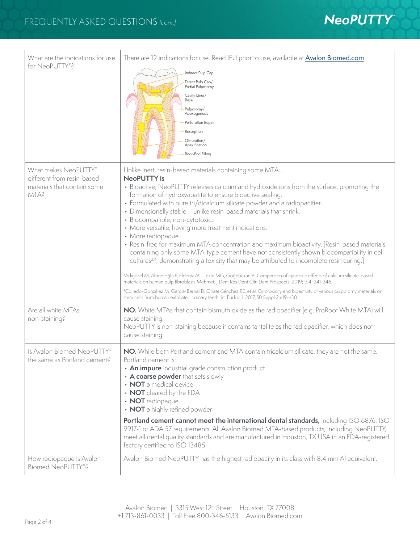

| What are the indications for use<br>for NeoPUTTY®?                                        | There are 12 indications for use. Read IFU prior to use, available at <b>Avalon Biomed.com</b><br>Indirect Pulp Cap<br>Direct Pulp Cap/<br>Partial Pulpotomy<br>Cavity Liner/<br>Base<br>Pulpotomy/<br>Apexogenesis<br>Perforation Repair<br>Resorption<br>Obturation/<br>Apexification<br>Root-End Filling                                                                                                                                                                                                                                                                                                                                                                                                                                                                                                                                                                                                                                                                                                                                                                                                                                                                                                                                                                                         |
|-------------------------------------------------------------------------------------------|-----------------------------------------------------------------------------------------------------------------------------------------------------------------------------------------------------------------------------------------------------------------------------------------------------------------------------------------------------------------------------------------------------------------------------------------------------------------------------------------------------------------------------------------------------------------------------------------------------------------------------------------------------------------------------------------------------------------------------------------------------------------------------------------------------------------------------------------------------------------------------------------------------------------------------------------------------------------------------------------------------------------------------------------------------------------------------------------------------------------------------------------------------------------------------------------------------------------------------------------------------------------------------------------------------|
| What makes NeoPUTTY®<br>different from resin-based<br>materials that contain some<br>MTA? | Unlike inert, resin-based materials containing some MTA<br><b>NeoPUTTY</b> is<br>• Bioactive; NeoPUTTY releases calcium and hydroxide ions from the surface, promoting the<br>formation of hydroxyapatite to ensure bioactive sealing.<br>• Formulated with pure tri/dicalcium silicate powder and a radiopacifier.<br>• Dimensionally stable - unlike resin-based materials that shrink.<br>· Biocompatible, non-cytotoxic.<br>• More versatile, having more treatment indications.<br>• More radiopaque.<br>• Resin-free for maximum MTA concentration and maximum bioactivity. [Resin-based materials<br>containing only some MTA-type cement have not consistently shown biocompatibility in cell<br>cultures <sup>3,4</sup> , demonstrating a toxicity that may be attributed to incomplete resin curing.]<br><sup>3</sup> Adıgüzel M, Ahmetoğlu F, Eldeniz AU, Tekin MG, Göğebakan B. Comparison of cytotoxic effects of calcium silicate-based<br>materials on human pulp fibroblasts Mehmet.   Dent Res Dent Clin Dent Prospects. 2019;13(4):241-246.<br><sup>4</sup> Collado-González M, García-Bernal D, Oñate-Sánchez RE, et al. Cytotoxicity and bioactivity of various pulpotomy materials on<br>stem cells from human exfoliated primary teeth. Int Endod J. 2017;50 Suppl 2:e19-e30. |
| Are all white MTAs<br>non-staining?                                                       | NO. White MTAs that contain bismuth oxide as the radiopacifier (e.g. ProRoot White MTA) will<br>cause staining.<br>NeoPUTTY is non-staining because it contains tantalite as the radiopacifier, which does not<br>cause staining.                                                                                                                                                                                                                                                                                                                                                                                                                                                                                                                                                                                                                                                                                                                                                                                                                                                                                                                                                                                                                                                                   |
| Is Avalon Biomed NeoPUTTY®<br>the same as Portland cement?                                | NO. While both Portland cement and MTA contain tricalcium silicate, they are not the same.<br>Portland cement is:<br>• An impure industrial grade construction product<br>• A coarse powder that sets slowly<br>• NOT a medical device<br>• NOT cleared by the FDA<br>• NOT radiopaque<br>• NOT a highly refined powder<br>Portland cement cannot meet the international dental standards, including ISO 6876, ISO<br>9917-1 or ADA 57 requirements. All Avalon Biomed MTA-based products, including NeoPUTTY,<br>meet all dental quality standards and are manufactured in Houston, TX USA in an FDA-registered<br>factory certified to ISO 13485.                                                                                                                                                                                                                                                                                                                                                                                                                                                                                                                                                                                                                                                 |
| How radiopaque is Avalon<br>Biomed NeoPUTTY®?                                             | Avalon Biomed NeoPUTTY has the highest radiopacity in its class with 8.4 mm Al equivalent.                                                                                                                                                                                                                                                                                                                                                                                                                                                                                                                                                                                                                                                                                                                                                                                                                                                                                                                                                                                                                                                                                                                                                                                                          |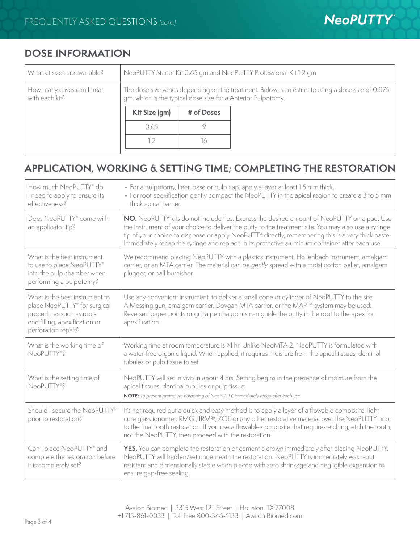## **DOSE INFORMATION**

| NeoPUTTY Starter Kit 0.65 gm and NeoPUTTY Professional Kit 1.2 gm                                                                                                |            |  |
|------------------------------------------------------------------------------------------------------------------------------------------------------------------|------------|--|
| The dose size varies depending on the treatment. Below is an estimate using a dose size of 0.075<br>gm, which is the typical dose size for a Anterior Pulpotomy. |            |  |
| Kit Size (gm)                                                                                                                                                    | # of Doses |  |
| 0.65                                                                                                                                                             |            |  |
|                                                                                                                                                                  | l6         |  |
|                                                                                                                                                                  |            |  |

## **APPLICATION, WORKING & SETTING TIME; COMPLETING THE RESTORATION**

| How much NeoPUTTY® do<br>I need to apply to ensure its<br>effectiveness?                                                                           | • For a pulpotomy, liner, base or pulp cap, apply a layer at least 1.5 mm thick.<br>• For root apexification gently compact the NeoPUTTY in the apical region to create a 3 to 5 mm<br>thick apical barrier.                                                                                                                                                                                                |
|----------------------------------------------------------------------------------------------------------------------------------------------------|-------------------------------------------------------------------------------------------------------------------------------------------------------------------------------------------------------------------------------------------------------------------------------------------------------------------------------------------------------------------------------------------------------------|
| Does NeoPUTTY® come with<br>an applicator tip?                                                                                                     | NO. NeoPUTTY kits do not include tips. Express the desired amount of NeoPUTTY on a pad. Use<br>the instrument of your choice to deliver the putty to the treatment site. You may also use a syringe<br>tip of your choice to dispense or apply NeoPUTTY directly, remembering this is a very thick paste.<br>Immediately recap the syringe and replace in its protective aluminum container after each use. |
| What is the best instrument<br>to use to place NeoPUTTY®<br>into the pulp chamber when<br>performing a pulpotomy?                                  | We recommend placing NeoPUTTY with a plastics instrument, Hollenbach instrument, amalgam<br>carrier, or an MTA carrier. The material can be gently spread with a moist cotton pellet, amalgam<br>plugger, or ball burnisher.                                                                                                                                                                                |
| What is the best instrument to<br>place NeoPUTTY® for surgical<br>procedures such as root-<br>end filling, apexification or<br>perforation repair? | Use any convenient instrument, to deliver a small cone or cylinder of NeoPUTTY to the site.<br>A Messing gun, amalgam carrier, Dovgan MTA carrier, or the MAP™ system may be used.<br>Reversed paper points or gutta percha points can guide the putty in the root to the apex for<br>apexification.                                                                                                        |
| What is the working time of<br>NeoPUTTY®?                                                                                                          | Working time at room temperature is >1 hr. Unlike NeoMTA 2, NeoPUTTY is formulated with<br>a water-free organic liquid. When applied, it requires moisture from the apical tissues, dentinal<br>tubules or pulp tissue to set.                                                                                                                                                                              |
| What is the setting time of<br>NeoPUTTY®?                                                                                                          | NeoPUTTY will set in vivo in about 4 hrs. Setting begins in the presence of moisture from the<br>apical tissues, dentinal tubules or pulp tissue.<br>NOTE: To prevent premature hardening of NeoPUTTY, immediately recap after each use.                                                                                                                                                                    |
| Should I secure the NeoPUTTY®<br>prior to restoration?                                                                                             | It's not required but a quick and easy method is to apply a layer of a flowable composite, light-<br>cure glass ionomer, RMGI, IRM®, ZOE or any other restorative material over the NeoPUTTY prior<br>to the final tooth restoration. If you use a flowable composite that requires etching, etch the tooth,<br>not the NeoPUTTY, then proceed with the restoration.                                        |
| Can I place NeoPUTTY® and<br>complete the restoration before<br>it is completely set?                                                              | <b>YES.</b> You can complete the restoration or cement a crown immediately after placing NeoPUTTY.<br>NeoPUTTY will harden/set underneath the restoration. NeoPUTTY is immediately wash-out<br>resistant and dimensionally stable when placed with zero shrinkage and negligible expansion to<br>ensure gap-free sealing.                                                                                   |